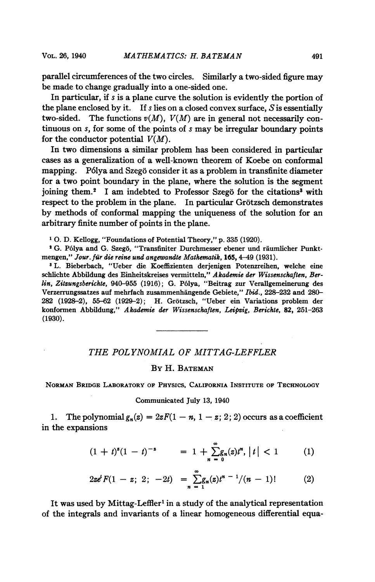parallel circumferences of the two circles. Similarly a two-sided figure may be made to change gradually into a one-sided one.

In particular, if s is a plane curve the solution is evidently the portion of the plane enclosed by it. If s lies on a closed convex surface,  $S$  is essentially two-sided. The functions  $v(M)$ ,  $V(M)$  are in general not necessarily continuous on s, for some of the points of <sup>s</sup> may be irregular boundary points for the conductor potential  $V(M)$ .

In two dimensions a similar problem has been considered in particular cases as a generalization of a well-known theorem of Koebe on conformal mapping. Pólya and Szegö consider it as a problem in transfinite diameter for a two point boundary in the plane, where the solution is the segment ioining them.<sup>2</sup> I am indebted to Professor Szegö for the citations<sup>3</sup> with respect to the problem in the plane. In particular Grotzsch demonstrates by methods of conformal mapping the uniqueness of the solution for an arbitrary finite number of points in the plane.

<sup>1</sup> 0. D. Kellogg, "Foundations of Potential Theory," p. 335 (1920).

<sup>2</sup> G. Pólya and G. Szegö, "Transfiniter Durchmesser ebener und räumlicher Punktmengen," Jour. für die reine und angewandte Mathematik, 165, 4-49 (1931).

<sup>3</sup> L. Bieberbach, "Ueber die Koeffizienten derjenigen Potenzreihen, welche eine schlichte Abbildung des Einheitskreises vermitteln,'*' Akademie der Wissenschaften, Ber*lin, Zitzungsberichte, 940-955 (1916); G. P61ya, "Beitrag zur Verallgemeinerung des Verzerrungssatzes auf mehrfach zusammenhangende Gebiete," Ibid., 228-232 and 280- 282 (1928-2), 55-62 (1929-2); H. Grotzsch, "Ueber ein Variations problem der konformen Abbildung," Akademie der Wissenschaften, Leipzig, Berichte, 82, 251-263 (1930).

## THE POLYNOMIAL OF MITTAG-LEFFLER

## By H. BATEMAN

NORMAN BRIDGE LABORATORY OF PHYSICS, CALIFORNIA INSTITUTE OF TECHNOLOGY

Communicated July 13, 1940

1. The polynomial  $g_n(z) = 2zF(1 - n, 1 - z; 2; 2)$  occurs as a coefficient in the expansions

$$
(1 + t)^{s}(1 - t)^{-s} = 1 + \sum_{n=0}^{\infty} g_n(z)t^n, |t| < 1
$$
 (1)

$$
2z\epsilon^t F(1-z; 2; -2t) = \sum_{n=1}^{\infty} g_n(z) t^{n-1}/(n-1)!
$$
 (2)

It was used by Mittag-Leffler<sup>1</sup> in a study of the analytical representation of the integrals and invariants of a linear homogeneous differential equa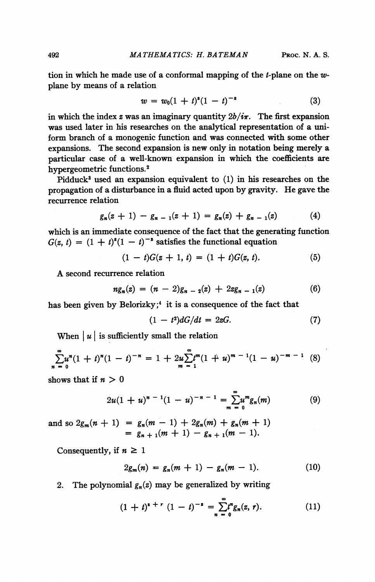492 MATHEMATICS: H. BATEMAN PROC. N. A. S.

tion in which he made use of a conformal mapping of the *t*-plane on the  $w$ plane by means of a relation

$$
w = w_0(1 + t)^{s}(1 - t)^{-s}
$$
 (3)

in which the index z was an imaginary quantity  $2b/i\pi$ . The first expansion was used later in his researches on the analytical representation of a uniform branch of a monogenic function and was connected with some other expansions. The second expansion is new only in notation being merely a particular case of a well-known expansion in which the coefficients are hypergeometric functions.2

Pidduck<sup>3</sup> used an expansion equivalent to (1) in his researches on the propagation of a disturbance in a fluid acted upon by gravity. He gave the recurrence relation

$$
g_n(z + 1) - g_{n-1}(z + 1) = g_n(z) + g_{n-1}(z) \tag{4}
$$

which is an immediate consequence of the fact that the generating function  $G(z, t) = (1 + t)^{z}(1 - t)^{-z}$  satisfies the functional equation

$$
(1-t)G(z+1, t) = (1+t)G(z, t).
$$
 (5)

A second recurrence relation

$$
ng_n(z) = (n-2)g_{n-2}(z) + 2zg_{n-1}(z)
$$
\n(6)

has been given by Belorizky;<sup>4</sup> it is a consequence of the fact that

$$
(1-t^2)dG/dt = 2zG.
$$
 (7)

When  $|u|$  is sufficiently small the relation

$$
\sum_{n=0}^{\infty} u^{n} (1+t)^{n} (1-t)^{-n} = 1 + 2u \sum_{m=1}^{\infty} t^{m} (1+u)^{m-1} (1-u)^{-m-1}
$$
 (8)

shows that if  $n > 0$ 

$$
2u(1+u)^{n-1}(1-u)^{-n-1} = \sum_{m=0}^{\infty} u^m g_n(m) \tag{9}
$$

and so  $2g_m(n + 1) = g_n(m - 1) + 2g_n(m) + g_n(m + 1)$  $= g_{n+1}(m+1) - g_{n+1}(m-1).$ 

Consequently, if  $n \geq 1$ 

$$
2g_m(n) = g_n(m+1) - g_n(m-1). \tag{10}
$$

2. The polynomial  $g_n(z)$  may be generalized by writing

$$
(1 + t)^{s + r} (1 - t)^{-s} = \sum_{n = 0}^{\infty} t^n g_n(z, r).
$$
 (11)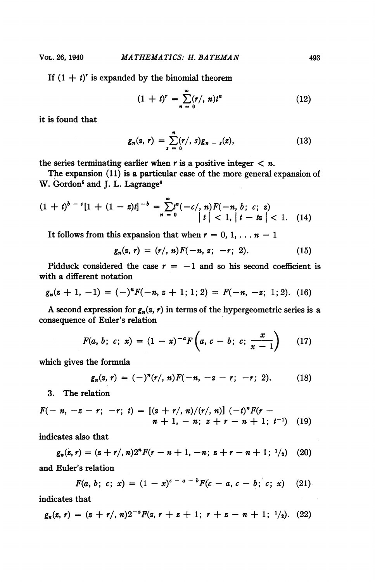If  $(1 + t)^r$  is expanded by the binomial theorem

$$
(1 + t)r = \sum_{n=0}^{\infty} (r', n)tn
$$
 (12)

it is found that

$$
g_n(z, r) = \sum_{s=0}^{n} (r', s) g_{n-s}(z), \qquad (13)
$$

the series terminating earlier when r is a positive integer  $\langle n$ .

The expansion (11) is a particular case of the more general expansion of W. Gordon<sup>5</sup> and J. L. Lagrange<sup>6</sup>

$$
(1 + t)^{b - c} [1 + (1 - z)t]^{-b} = \sum_{n = 0}^{\infty} t^{n} (-c), n) F(-n, b; c; z)
$$
  
\n
$$
|t| < 1, |t - tz| < 1.
$$
 (14)

It follows from this expansion that when  $r = 0, 1, \ldots n - 1$ 

$$
g_n(z, r) = (r/, n)F(-n, z; -r; 2). \qquad (15)
$$

Pidduck considered the case  $r = -1$  and so his second coefficient is with a different notation

$$
g_n(z + 1, -1) = (-)^n F(-n, z + 1; 1; 2) = F(-n, -z; 1; 2). (16)
$$

A second expression for  $g_n(z, r)$  in terms of the hypergeometric series is a consequence of Euler's relation

$$
F(a, b; c; x) = (1-x)^{-a} F\left(a, c-b; c; \frac{x}{x-1}\right) \qquad (17)
$$

which gives the formula

$$
g_n(z,\,r)=(-)^n(r',\,n)F(-n,\,-z-r;\,-r;\,2). \qquad (18)
$$

3. The relation

$$
F(-n, -z-r; -r; t) = [(z + r/, n)/(r/, n)] (-t)nF(r -n + 1, -n; z + r - n + 1; t-1) (19)
$$

indicates also that

$$
g_n(z, r) = (z + r', n)2^n F(r - n + 1, -n; z + r - n + 1; \frac{1}{2})
$$
 (20)  
and Euler's relation

$$
F(a, b; c; x) = (1 - x)^{c-a-b} F(c-a, c-b; c; x) \quad (21)
$$

indicates that

$$
g_n(z, r) = (z + r/\, n)2^{-s} F(z, r + z + 1; r + z - n + 1; \frac{1}{2}). \tag{22}
$$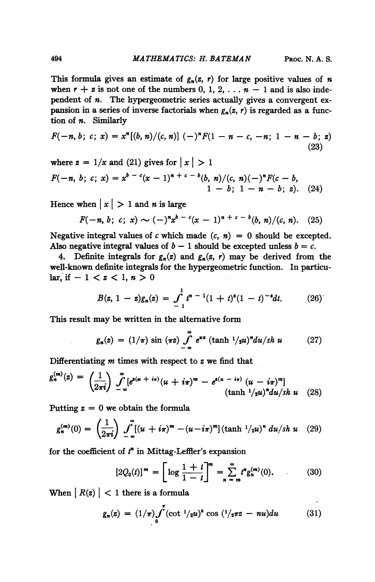This formula gives an estimate of  $g_n(z, r)$  for large positive values of n when  $r + z$  is not one of the numbers 0, 1, 2, ...  $n - 1$  and is also independent of  $n$ . The hypergeometric series actually gives a convergent expansion in a series of inverse factorials when  $g_n(z, r)$  is regarded as a function of n. Similarly

$$
F(-n, b; c; x) = xn[(b, n)/(c, n)] (-)nF(1 - n - c, -n; 1 - n - b; z)
$$
\n(23)

where 
$$
z = 1/x
$$
 and (21) gives for  $|x| > 1$   
\n
$$
F(-n, b; c; x) = x^{b-c}(x-1)^{n+c-b}(b, n)/(c, n)(-)^{n}F(c - b, 1 - b; 1 - n - b; z).
$$
 (24)

Hence when  $x \mid x$  is large

$$
F(-n, b; c; x) \sim (-)^{n} x^{b-c} (x-1)^{n+c-b} (b, n)/(c, n). \quad (25)
$$

Negative integral values of c which made  $(c, n) = 0$  should be excepted. Also negative integral values of  $b - 1$  should be excepted unless  $b = c$ .

4. Definite integrals for  $g_n(z)$  and  $g_n(z, r)$  may be derived from the well-known definite integrals for the hypergeometric function. In particular, if  $-1 < z < 1, n > 0$ 

$$
B(z, 1-z)g_n(z) = \int_{-1}^1 t^{n-1} (1+t)^{z} (1-t)^{-z} dt. \qquad (26)
$$

This result may be written in the alternative form

$$
g_n(z) = (1/\pi) \sin (\pi z) \int_{-\infty}^{\infty} e^{us} (\tanh 1/2u)^n du / sh \ u \qquad (27)
$$

Differentiating  $m$  times with respect to  $z$  we find that

$$
g_n^{(m)}(z) = \left(\frac{1}{2\pi i}\right) \int_{-\infty}^{\infty} [e^{z(u + i\pi)}(u + i\pi)^m - e^{z(u - i\pi)}(u - i\pi)^m]
$$
\n(tanh <sup>1</sup>/2u)<sup>n</sup>du/sh u (28)

Putting  $z = 0$  we obtain the formula

$$
g_n^{(m)}(0) = \left(\frac{1}{2\pi i}\right) \int_{-\infty}^{\infty} [(u + i\pi)^m - (u - i\pi)^m] (\tanh \frac{1}{2}u)^n du / sh \ u \quad (29)
$$

for the coefficient of  $t<sup>n</sup>$  in Mittag-Leffler's expansion

$$
[2Q_0(t)]^m = \left[\log \frac{1+t}{1-t}\right]^m = \sum_{n=m}^{\infty} t^n g_n^{(m)}(0). \tag{30}
$$

When  $|R(z)| < 1$  there is a formula

$$
g_n(z) = (1/\pi) \int_0^z (\cot^{-1}/2u)^z \cos({1}/2\pi z - nu) du \qquad (31)
$$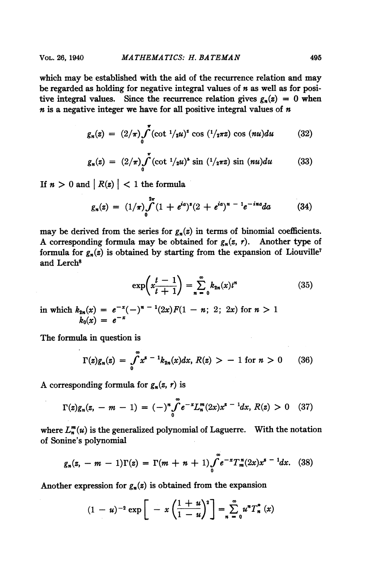which may be established with the aid of the recurrence relation and may be regarded as holding for negative integral values of  $n$  as well as for positive integral values. Since the recurrence relation gives  $g_n(z) = 0$  when  $n$  is a negative integer we have for all positive integral values of  $n$ 

$$
g_n(z) = (2/\pi) \int_0^{\pi} (\cot^{-1}/2u)^z \cos (1/2\pi z) \cos (nu) du \qquad (32)
$$

$$
g_n(z) = (2/\pi) \int_0^{\pi} (\cot^{-1}/2u)^s \sin^{-1}/2\pi z \sin(nu) du \qquad (33)
$$

If  $n > 0$  and  $|R(z)| < 1$  the formula

$$
g_n(z) = (1/\pi) \int_0^{2\pi} (1 + e^{ia})^z (2 + e^{ia})^{n-1} e^{-ina} da \qquad (34)
$$

may be derived from the series for  $g_n(z)$  in terms of binomial coefficients. A corresponding formula may be obtained for  $g_n(z, r)$ . Another type of formula for  $g_n(z)$  is obtained by starting from the expansion of Liouville<sup>7</sup> and Lerch<sup>8</sup>

$$
\exp\left(x\frac{t-1}{t+1}\right) = \sum_{n=0}^{\infty} k_{2n}(x)t^n \tag{35}
$$

in which  $k_{2n}(x) = e^{-x}(-)^{n-1}(2x)F(1-n; 2; 2x)$  for  $n > 1$  $k_0(x) = e^{-x}$ 

The formula in question is

$$
\Gamma(z)g_n(z) = \int_0^\infty x^{s-1} k_{2n}(x) dx, R(z) > -1 \text{ for } n > 0 \qquad (36)
$$

A corresponding formula for  $g_n(z, r)$  is

$$
\Gamma(z)g_n(z, -m-1) = (-)^n \int_0^\infty e^{-x} L_n^m(2x) x^{z-1} dx, R(z) > 0 \quad (37)
$$

where  $L_n^m(u)$  is the generalized polynomial of Laguerre. With the notation of Sonine's polynomial

$$
g_n(z, -m-1)\Gamma(z) = \Gamma(m+n+1)\int_0^{\infty} e^{-x} T_m^{\,n}(2x) x^{s-1} dx. \tag{38}
$$

Another expression for  $g_n(z)$  is obtained from the expansion

$$
(1-u)^{-2} \exp \left[ -x \left( \frac{1+u}{1-u} \right)^2 \right] = \sum_{n=0}^{\infty} u^n T_n^*(x)
$$